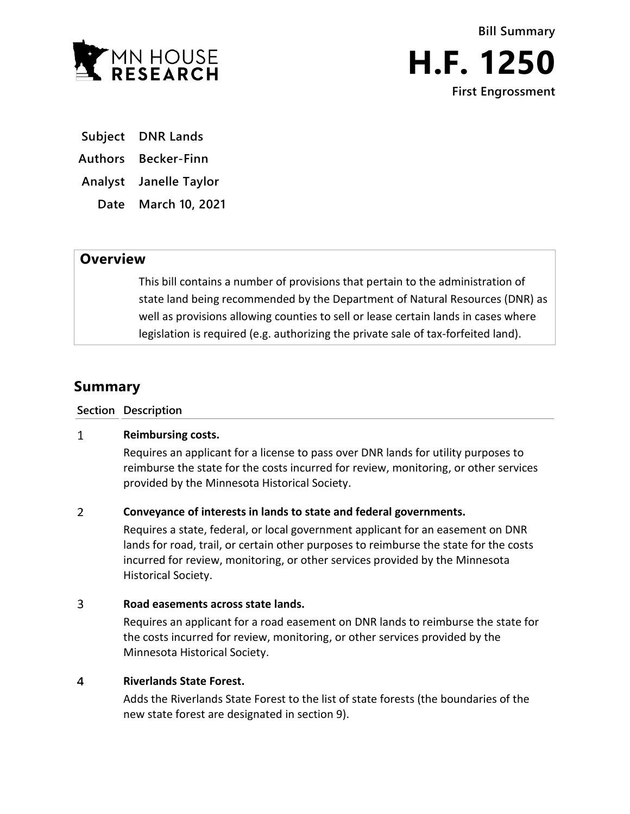

**Bill Summary H.F. 1250 First Engrossment**

**Subject DNR Lands**

**Authors Becker-Finn**

**Analyst Janelle Taylor**

**Date March 10, 2021**

# **Overview**

This bill contains a number of provisions that pertain to the administration of state land being recommended by the Department of Natural Resources (DNR) as well as provisions allowing counties to sell or lease certain lands in cases where legislation is required (e.g. authorizing the private sale of tax-forfeited land).

# **Summary**

**Section Description**

# $\mathbf{1}$ **Reimbursing costs.**

Requires an applicant for a license to pass over DNR lands for utility purposes to reimburse the state for the costs incurred for review, monitoring, or other services provided by the Minnesota Historical Society.

# $\overline{2}$ **Conveyance of interests in lands to state and federal governments.**

Requires a state, federal, or local government applicant for an easement on DNR lands for road, trail, or certain other purposes to reimburse the state for the costs incurred for review, monitoring, or other services provided by the Minnesota Historical Society.

## $\overline{3}$ **Road easements across state lands.**

Requires an applicant for a road easement on DNR lands to reimburse the state for the costs incurred for review, monitoring, or other services provided by the Minnesota Historical Society.

# $\overline{4}$ **Riverlands State Forest.**

Adds the Riverlands State Forest to the list of state forests (the boundaries of the new state forest are designated in section 9).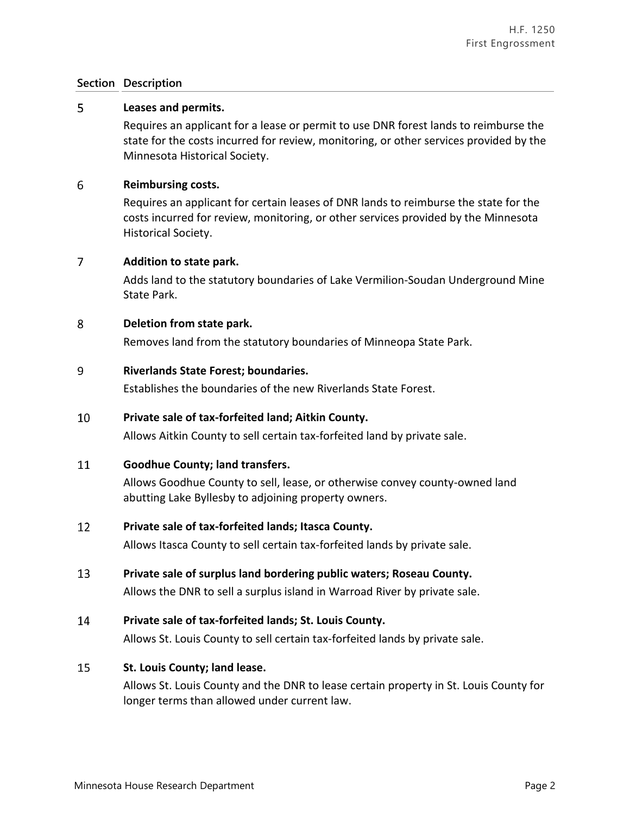# **Section Description**

## 5 **Leases and permits.**

Requires an applicant for a lease or permit to use DNR forest lands to reimburse the state for the costs incurred for review, monitoring, or other services provided by the Minnesota Historical Society.

### 6 **Reimbursing costs.**

Requires an applicant for certain leases of DNR lands to reimburse the state for the costs incurred for review, monitoring, or other services provided by the Minnesota Historical Society.

# $\overline{7}$ **Addition to state park.**

Adds land to the statutory boundaries of Lake Vermilion-Soudan Underground Mine State Park.

#### 8 **Deletion from state park.**

Removes land from the statutory boundaries of Minneopa State Park.

#### 9 **Riverlands State Forest; boundaries.**

Establishes the boundaries of the new Riverlands State Forest.

## 10 **Private sale of tax-forfeited land; Aitkin County.**

Allows Aitkin County to sell certain tax-forfeited land by private sale.

#### 11 **Goodhue County; land transfers.**

Allows Goodhue County to sell, lease, or otherwise convey county-owned land abutting Lake Byllesby to adjoining property owners.

#### 12 **Private sale of tax-forfeited lands; Itasca County.**

Allows Itasca County to sell certain tax-forfeited lands by private sale.

13 **Private sale of surplus land bordering public waters; Roseau County.**

Allows the DNR to sell a surplus island in Warroad River by private sale.

14 **Private sale of tax-forfeited lands; St. Louis County.**

Allows St. Louis County to sell certain tax-forfeited lands by private sale.

## 15 **St. Louis County; land lease.**

Allows St. Louis County and the DNR to lease certain property in St. Louis County for longer terms than allowed under current law.